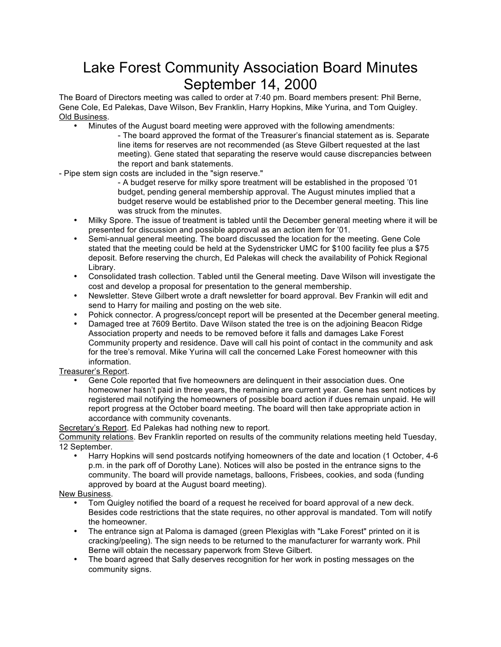## Lake Forest Community Association Board Minutes September 14, 2000

The Board of Directors meeting was called to order at 7:40 pm. Board members present: Phil Berne, Gene Cole, Ed Palekas, Dave Wilson, Bev Franklin, Harry Hopkins, Mike Yurina, and Tom Quigley. Old Business.

- Minutes of the August board meeting were approved with the following amendments:
	- The board approved the format of the Treasurer's financial statement as is. Separate line items for reserves are not recommended (as Steve Gilbert requested at the last meeting). Gene stated that separating the reserve would cause discrepancies between the report and bank statements.

- Pipe stem sign costs are included in the "sign reserve."

- A budget reserve for milky spore treatment will be established in the proposed '01 budget, pending general membership approval. The August minutes implied that a budget reserve would be established prior to the December general meeting. This line was struck from the minutes.
- Milky Spore. The issue of treatment is tabled until the December general meeting where it will be presented for discussion and possible approval as an action item for '01.
- Semi-annual general meeting. The board discussed the location for the meeting. Gene Cole stated that the meeting could be held at the Sydenstricker UMC for \$100 facility fee plus a \$75 deposit. Before reserving the church, Ed Palekas will check the availability of Pohick Regional Library.
- Consolidated trash collection. Tabled until the General meeting. Dave Wilson will investigate the cost and develop a proposal for presentation to the general membership.
- Newsletter. Steve Gilbert wrote a draft newsletter for board approval. Bev Frankin will edit and send to Harry for mailing and posting on the web site.
- Pohick connector. A progress/concept report will be presented at the December general meeting.
- Damaged tree at 7609 Bertito. Dave Wilson stated the tree is on the adjoining Beacon Ridge Association property and needs to be removed before it falls and damages Lake Forest Community property and residence. Dave will call his point of contact in the community and ask for the tree's removal. Mike Yurina will call the concerned Lake Forest homeowner with this information.

Treasurer's Report.

• Gene Cole reported that five homeowners are delinquent in their association dues. One homeowner hasn't paid in three years, the remaining are current year. Gene has sent notices by registered mail notifying the homeowners of possible board action if dues remain unpaid. He will report progress at the October board meeting. The board will then take appropriate action in accordance with community covenants.

Secretary's Report. Ed Palekas had nothing new to report.

Community relations. Bev Franklin reported on results of the community relations meeting held Tuesday, 12 September.

• Harry Hopkins will send postcards notifying homeowners of the date and location (1 October, 4-6 p.m. in the park off of Dorothy Lane). Notices will also be posted in the entrance signs to the community. The board will provide nametags, balloons, Frisbees, cookies, and soda (funding approved by board at the August board meeting).

New Business.

- Tom Quigley notified the board of a request he received for board approval of a new deck. Besides code restrictions that the state requires, no other approval is mandated. Tom will notify the homeowner.
- The entrance sign at Paloma is damaged (green Plexiglas with "Lake Forest" printed on it is cracking/peeling). The sign needs to be returned to the manufacturer for warranty work. Phil Berne will obtain the necessary paperwork from Steve Gilbert.
- The board agreed that Sally deserves recognition for her work in posting messages on the community signs.